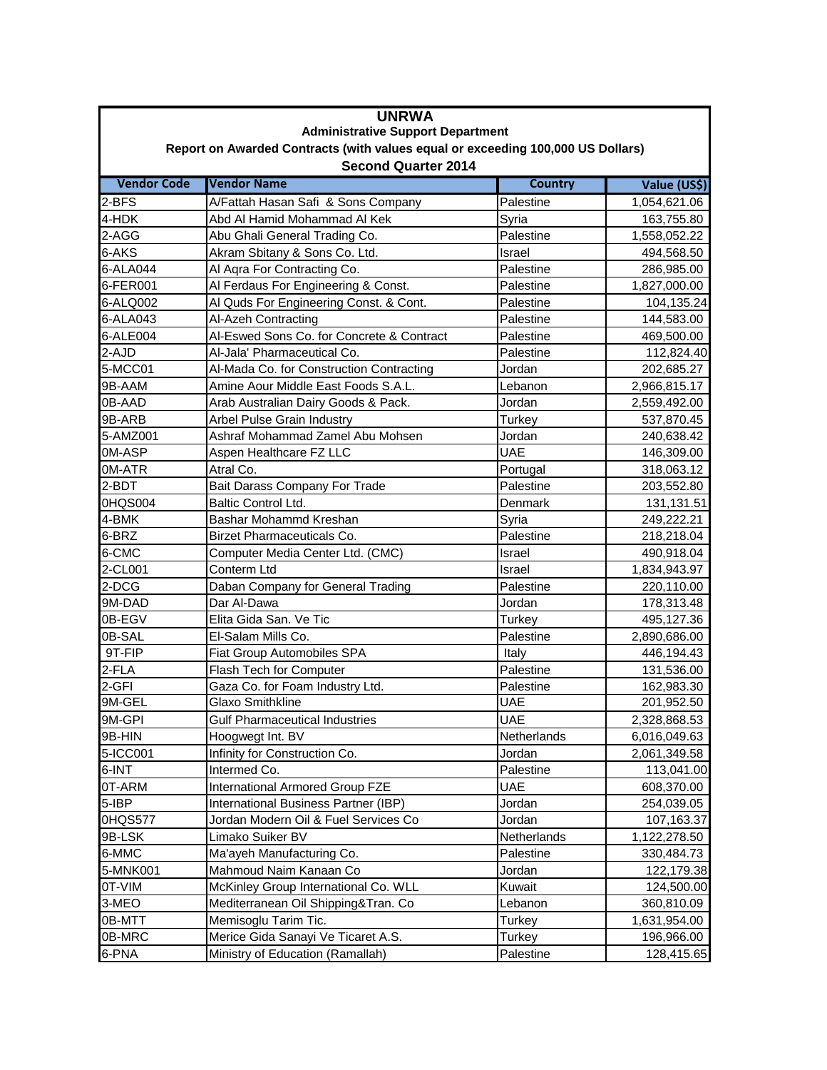| <b>UNRWA</b>                                                                                                  |                                           |                |              |  |  |
|---------------------------------------------------------------------------------------------------------------|-------------------------------------------|----------------|--------------|--|--|
| <b>Administrative Support Department</b>                                                                      |                                           |                |              |  |  |
| Report on Awarded Contracts (with values equal or exceeding 100,000 US Dollars)<br><b>Second Quarter 2014</b> |                                           |                |              |  |  |
| <b>Vendor Code</b>                                                                                            | <b>Vendor Name</b>                        | <b>Country</b> | Value (US\$) |  |  |
| 2-BFS                                                                                                         | A/Fattah Hasan Safi & Sons Company        | Palestine      | 1,054,621.06 |  |  |
| 4-HDK                                                                                                         | Abd Al Hamid Mohammad Al Kek              | Syria          | 163,755.80   |  |  |
| 2-AGG                                                                                                         | Abu Ghali General Trading Co.             | Palestine      | 1,558,052.22 |  |  |
| 6-AKS                                                                                                         | Akram Sbitany & Sons Co. Ltd.             | Israel         | 494,568.50   |  |  |
| 6-ALA044                                                                                                      | Al Aqra For Contracting Co.               | Palestine      | 286,985.00   |  |  |
| 6-FER001                                                                                                      | Al Ferdaus For Engineering & Const.       | Palestine      | 1,827,000.00 |  |  |
| 6-ALQ002                                                                                                      | Al Quds For Engineering Const. & Cont.    | Palestine      | 104,135.24   |  |  |
| 6-ALA043                                                                                                      | Al-Azeh Contracting                       | Palestine      | 144,583.00   |  |  |
| 6-ALE004                                                                                                      | Al-Eswed Sons Co. for Concrete & Contract | Palestine      | 469,500.00   |  |  |
| 2-AJD                                                                                                         | Al-Jala' Pharmaceutical Co.               | Palestine      | 112,824.40   |  |  |
| 5-MCC01                                                                                                       | Al-Mada Co. for Construction Contracting  | Jordan         | 202,685.27   |  |  |
| 9B-AAM                                                                                                        | Amine Aour Middle East Foods S.A.L.       | Lebanon        | 2,966,815.17 |  |  |
| 0B-AAD                                                                                                        | Arab Australian Dairy Goods & Pack.       | Jordan         | 2,559,492.00 |  |  |
| 9B-ARB                                                                                                        | Arbel Pulse Grain Industry                | <b>Turkey</b>  | 537,870.45   |  |  |
| 5-AMZ001                                                                                                      | Ashraf Mohammad Zamel Abu Mohsen          | Jordan         | 240,638.42   |  |  |
| 0M-ASP                                                                                                        | Aspen Healthcare FZ LLC                   | <b>UAE</b>     | 146,309.00   |  |  |
| 0M-ATR                                                                                                        | Atral Co.                                 |                | 318,063.12   |  |  |
| 2-BDT                                                                                                         |                                           | Portugal       |              |  |  |
|                                                                                                               | Bait Darass Company For Trade             | Palestine      | 203,552.80   |  |  |
| 0HQS004                                                                                                       | Baltic Control Ltd.                       | Denmark        | 131,131.51   |  |  |
| 4-BMK                                                                                                         | Bashar Mohammd Kreshan                    | Syria          | 249,222.21   |  |  |
| 6-BRZ                                                                                                         | Birzet Pharmaceuticals Co.                | Palestine      | 218,218.04   |  |  |
| 6-CMC                                                                                                         | Computer Media Center Ltd. (CMC)          | Israel         | 490,918.04   |  |  |
| 2-CL001                                                                                                       | Conterm Ltd                               | Israel         | 1,834,943.97 |  |  |
| 2-DCG                                                                                                         | Daban Company for General Trading         | Palestine      | 220,110.00   |  |  |
| 9M-DAD                                                                                                        | Dar Al-Dawa                               | Jordan         | 178,313.48   |  |  |
| 0B-EGV                                                                                                        | Elita Gida San. Ve Tic                    | Turkey         | 495,127.36   |  |  |
| 0B-SAL                                                                                                        | El-Salam Mills Co.                        | Palestine      | 2,890,686.00 |  |  |
| 9T-FIP                                                                                                        | Fiat Group Automobiles SPA                | Italy          | 446,194.43   |  |  |
| 2-FLA                                                                                                         | Flash Tech for Computer                   | Palestine      | 131,536.00   |  |  |
| 2-GFI                                                                                                         | Gaza Co. for Foam Industry Ltd.           | Palestine      | 162,983.30   |  |  |
| 9M-GEL                                                                                                        | <b>Glaxo Smithkline</b>                   | <b>UAE</b>     | 201,952.50   |  |  |
| 9M-GPI                                                                                                        | <b>Gulf Pharmaceutical Industries</b>     | <b>UAE</b>     | 2,328,868.53 |  |  |
| 9B-HIN                                                                                                        | Hoogwegt Int. BV                          | Netherlands    | 6,016,049.63 |  |  |
| 5-ICC001                                                                                                      | Infinity for Construction Co.             | Jordan         | 2,061,349.58 |  |  |
| 6-INT                                                                                                         | Intermed Co.                              | Palestine      | 113,041.00   |  |  |
| 0T-ARM                                                                                                        | International Armored Group FZE           | UAE            | 608,370.00   |  |  |
| 5-IBP                                                                                                         | International Business Partner (IBP)      | Jordan         | 254,039.05   |  |  |
| 0HQS577                                                                                                       | Jordan Modern Oil & Fuel Services Co      | Jordan         | 107,163.37   |  |  |
| 9B-LSK                                                                                                        | Limako Suiker BV                          | Netherlands    | 1,122,278.50 |  |  |
| 6-MMC                                                                                                         | Ma'ayeh Manufacturing Co.                 | Palestine      | 330,484.73   |  |  |
| 5-MNK001                                                                                                      | Mahmoud Naim Kanaan Co                    | Jordan         | 122,179.38   |  |  |
| 0T-VIM                                                                                                        | McKinley Group International Co. WLL      | Kuwait         | 124,500.00   |  |  |
| 3-MEO                                                                                                         | Mediterranean Oil Shipping&Tran. Co       | Lebanon        | 360,810.09   |  |  |
| 0B-MTT                                                                                                        | Memisoglu Tarim Tic.                      | Turkey         | 1,631,954.00 |  |  |
| 0B-MRC                                                                                                        | Merice Gida Sanayi Ve Ticaret A.S.        | Turkey         | 196,966.00   |  |  |
| 6-PNA                                                                                                         | Ministry of Education (Ramallah)          | Palestine      | 128,415.65   |  |  |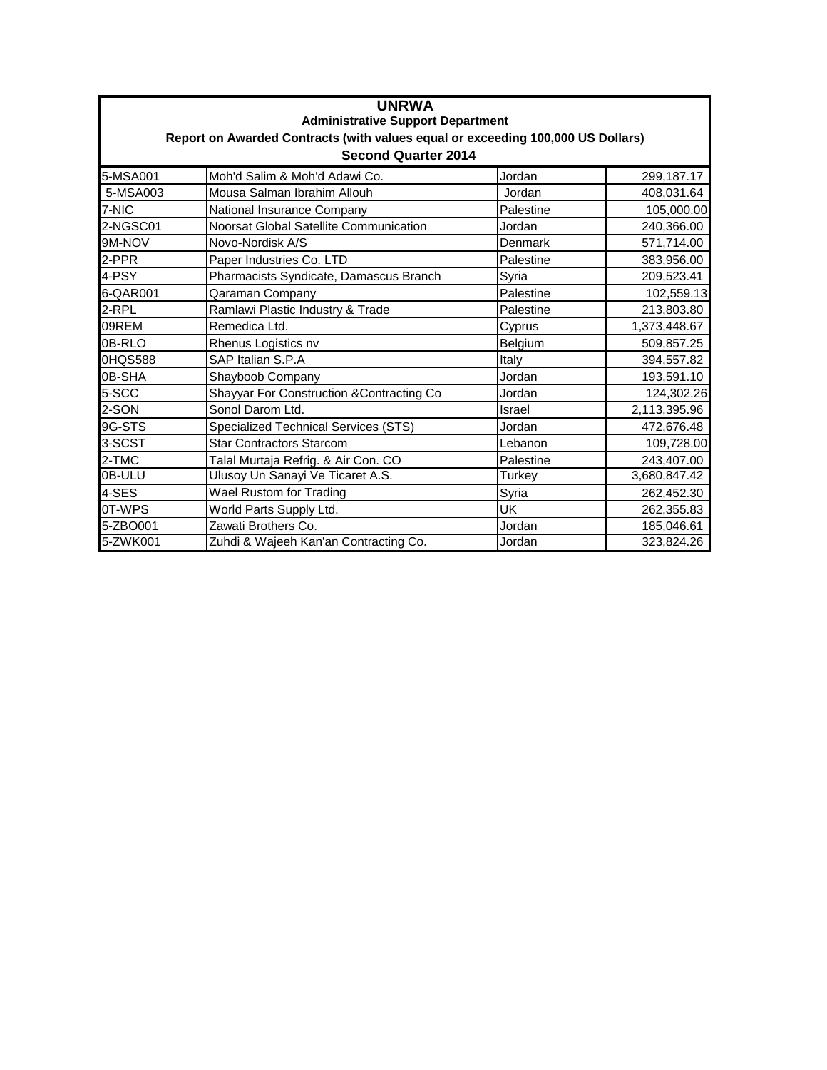| <b>UNRWA</b><br><b>Administrative Support Department</b><br>Report on Awarded Contracts (with values equal or exceeding 100,000 US Dollars)<br><b>Second Quarter 2014</b> |                                             |           |              |  |  |
|---------------------------------------------------------------------------------------------------------------------------------------------------------------------------|---------------------------------------------|-----------|--------------|--|--|
| 5-MSA001                                                                                                                                                                  | Moh'd Salim & Moh'd Adawi Co.               | Jordan    | 299,187.17   |  |  |
| 5-MSA003                                                                                                                                                                  | Mousa Salman Ibrahim Allouh                 | Jordan    | 408,031.64   |  |  |
| 7-NIC                                                                                                                                                                     | National Insurance Company                  | Palestine | 105,000.00   |  |  |
| 2-NGSC01                                                                                                                                                                  | Noorsat Global Satellite Communication      | Jordan    | 240,366.00   |  |  |
| 9M-NOV                                                                                                                                                                    | Novo-Nordisk A/S                            | Denmark   | 571,714.00   |  |  |
| 2-PPR                                                                                                                                                                     | Paper Industries Co. LTD                    | Palestine | 383,956.00   |  |  |
| 4-PSY                                                                                                                                                                     | Pharmacists Syndicate, Damascus Branch      | Syria     | 209,523.41   |  |  |
| 6-QAR001                                                                                                                                                                  | Qaraman Company                             | Palestine | 102,559.13   |  |  |
| 2-RPL                                                                                                                                                                     | Ramlawi Plastic Industry & Trade            | Palestine | 213,803.80   |  |  |
| 09REM                                                                                                                                                                     | Remedica Ltd.                               | Cyprus    | 1,373,448.67 |  |  |
| 0B-RLO                                                                                                                                                                    | Rhenus Logistics nv                         | Belgium   | 509,857.25   |  |  |
| 0HQS588                                                                                                                                                                   | SAP Italian S.P.A                           | Italy     | 394,557.82   |  |  |
| 0B-SHA                                                                                                                                                                    | Shayboob Company                            | Jordan    | 193,591.10   |  |  |
| 5-SCC                                                                                                                                                                     | Shayyar For Construction & Contracting Co   | Jordan    | 124,302.26   |  |  |
| 2-SON                                                                                                                                                                     | Sonol Darom Ltd.                            | Israel    | 2,113,395.96 |  |  |
| 9G-STS                                                                                                                                                                    | <b>Specialized Technical Services (STS)</b> | Jordan    | 472,676.48   |  |  |
| 3-SCST                                                                                                                                                                    | <b>Star Contractors Starcom</b>             | Lebanon   | 109,728.00   |  |  |
| 2-TMC                                                                                                                                                                     | Talal Murtaja Refrig. & Air Con. CO         | Palestine | 243,407.00   |  |  |
| 0B-ULU                                                                                                                                                                    | Ulusoy Un Sanayi Ve Ticaret A.S.            | Turkey    | 3,680,847.42 |  |  |
| 4-SES                                                                                                                                                                     | <b>Wael Rustom for Trading</b>              | Syria     | 262,452.30   |  |  |
| 0T-WPS                                                                                                                                                                    | World Parts Supply Ltd.                     | UK        | 262,355.83   |  |  |
| 5-ZBO001                                                                                                                                                                  | Zawati Brothers Co.                         | Jordan    | 185,046.61   |  |  |
| 5-ZWK001                                                                                                                                                                  | Zuhdi & Wajeeh Kan'an Contracting Co.       | Jordan    | 323,824.26   |  |  |